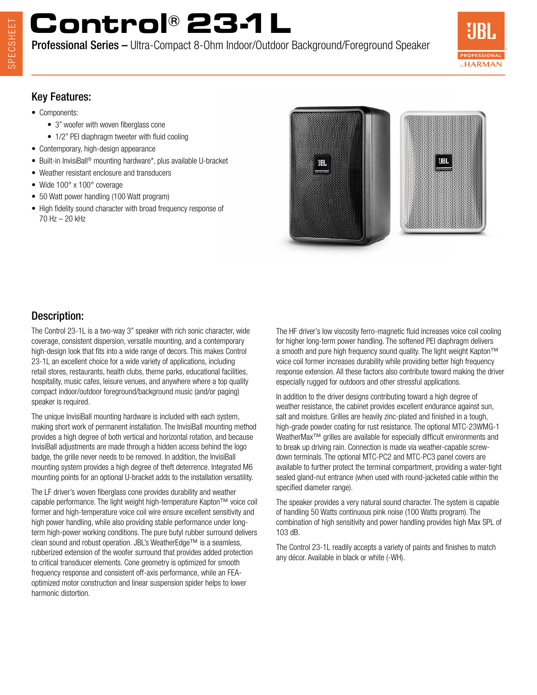## **Control® 23-1L**

Professional Series – Ultra-Compact 8-Ohm Indoor/Outdoor Background/Foreground Speaker



### Key Features:

- Components:
	- 3" woofer with woven fiberglass cone
	- 1/2" PEI diaphragm tweeter with fluid cooling
- Contemporary, high-design appearance
- Built-in InvisiBall® mounting hardware\*, plus available U-bracket
- Weather resistant enclosure and transducers
- Wide 100° x 100° coverage
- 50 Watt power handling (100 Watt program)
- High fidelity sound character with broad frequency response of 70 Hz – 20 kHz



### Description:

The Control 23-1L is a two-way 3" speaker with rich sonic character, wide coverage, consistent dispersion, versatile mounting, and a contemporary high-design look that fits into a wide range of decors. This makes Control 23-1L an excellent choice for a wide variety of applications, including retail stores, restaurants, health clubs, theme parks, educational facilities, hospitality, music cafes, leisure venues, and anywhere where a top quality compact indoor/outdoor foreground/background music (and/or paging) speaker is required.

The unique InvisiBall mounting hardware is included with each system, making short work of permanent installation. The InvisiBall mounting method provides a high degree of both vertical and horizontal rotation, and because InvisiBall adjustments are made through a hidden access behind the logo badge, the grille never needs to be removed. In addition, the InvisiBall mounting system provides a high degree of theft deterrence. Integrated M6 mounting points for an optional U-bracket adds to the installation versatility.

The LF driver's woven fiberglass cone provides durability and weather capable performance. The light weight high-temperature Kapton™ voice coil former and high-temperature voice coil wire ensure excellent sensitivity and high power handling, while also providing stable performance under longterm high-power working conditions. The pure butyl rubber surround delivers clean sound and robust operation. JBL's WeatherEdge™ is a seamless, rubberized extension of the woofer surround that provides added protection to critical transducer elements. Cone geometry is optimized for smooth frequency response and consistent off-axis performance, while an FEAoptimized motor construction and linear suspension spider helps to lower harmonic distortion.

The HF driver's low viscosity ferro-magnetic fluid increases voice coil cooling for higher long-term power handling. The softened PEI diaphragm delivers a smooth and pure high frequency sound quality. The light weight Kapton™ voice coil former increases durability while providing better high frequency response extension. All these factors also contribute toward making the driver especially rugged for outdoors and other stressful applications.

In addition to the driver designs contributing toward a high degree of weather resistance, the cabinet provides excellent endurance against sun, salt and moisture. Grilles are heavily zinc-plated and finished in a tough, high-grade powder coating for rust resistance. The optional MTC-23WMG-1 WeatherMax<sup>™</sup> grilles are available for especially difficult environments and to break up driving rain. Connection is made via weather-capable screwdown terminals. The optional MTC-PC2 and MTC-PC3 panel covers are available to further protect the terminal compartment, providing a water-tight sealed gland-nut entrance (when used with round-jacketed cable within the specified diameter range).

The speaker provides a very natural sound character. The system is capable of handling 50 Watts continuous pink noise (100 Watts program). The combination of high sensitivity and power handling provides high Max SPL of 103 dB.

The Control 23-1L readily accepts a variety of paints and finishes to match any décor. Available in black or white (-WH).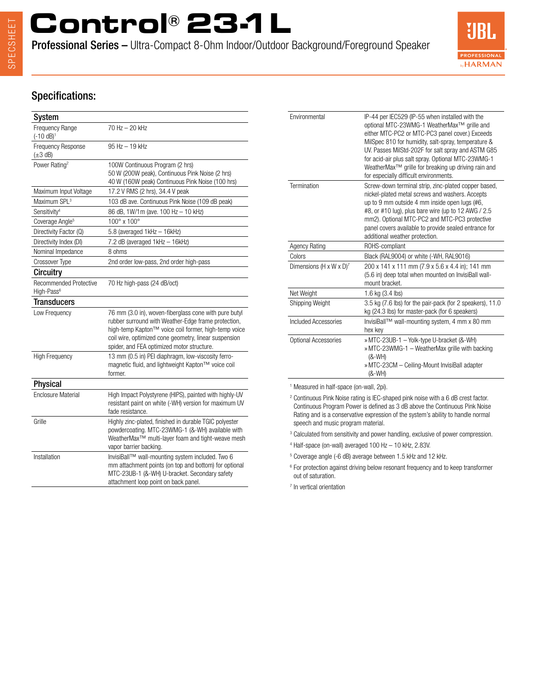# **Control® 23-1L**

Professional Series – Ultra-Compact 8-Ohm Indoor/Outdoor Background/Foreground Speaker



### Specifications:

| System                                                  |                                                                                                                                                                                                                                                                             |
|---------------------------------------------------------|-----------------------------------------------------------------------------------------------------------------------------------------------------------------------------------------------------------------------------------------------------------------------------|
| Frequency Range<br>$(-10 dB)^1$                         | 70 Hz – 20 kHz                                                                                                                                                                                                                                                              |
| Frequency Response<br>$(\pm 3$ dB)                      | 95 Hz - 19 kHz                                                                                                                                                                                                                                                              |
| Power Rating <sup>2</sup>                               | 100W Continuous Program (2 hrs)<br>50 W (200W peak), Continuous Pink Noise (2 hrs)<br>40 W (160W peak) Continuous Pink Noise (100 hrs)                                                                                                                                      |
| Maximum Input Voltage                                   | 17.2 V RMS (2 hrs), 34.4 V peak                                                                                                                                                                                                                                             |
| Maximum SPL <sup>3</sup>                                | 103 dB ave. Continuous Pink Noise (109 dB peak)                                                                                                                                                                                                                             |
| Sensitivity <sup>4</sup>                                | 86 dB, 1W/1m (ave. 100 Hz - 10 kHz)                                                                                                                                                                                                                                         |
| Coverage Angle <sup>5</sup>                             | 100° x 100°                                                                                                                                                                                                                                                                 |
| Directivity Factor (Q)                                  | 5.8 (averaged 1kHz - 16kHz)                                                                                                                                                                                                                                                 |
| Directivity Index (DI)                                  | 7.2 dB (averaged 1kHz - 16kHz)                                                                                                                                                                                                                                              |
| Nominal Impedance                                       | 8 ohms                                                                                                                                                                                                                                                                      |
| Crossover Type                                          | 2nd order low-pass, 2nd order high-pass                                                                                                                                                                                                                                     |
| <b>Circuitry</b>                                        |                                                                                                                                                                                                                                                                             |
| <b>Recommended Protective</b><br>High-Pass <sup>6</sup> | 70 Hz high-pass (24 dB/oct)                                                                                                                                                                                                                                                 |
| <b>Transducers</b>                                      |                                                                                                                                                                                                                                                                             |
| Low Frequency                                           | 76 mm (3.0 in), woven-fiberglass cone with pure butyl<br>rubber surround with Weather-Edge frame protection,<br>high-temp Kapton™ voice coil former, high-temp voice<br>coil wire, optimized cone geometry, linear suspension<br>spider, and FEA optimized motor structure. |
| <b>High Frequency</b>                                   | 13 mm (0.5 in) PEI diaphragm, low-viscosity ferro-<br>magnetic fluid, and lightweight Kapton™ voice coil<br>former.                                                                                                                                                         |
| <b>Physical</b>                                         |                                                                                                                                                                                                                                                                             |
| <b>Enclosure Material</b>                               | High Impact Polystyrene (HIPS), painted with highly-UV<br>resistant paint on white (-WH) version for maximum UV<br>fade resistance.                                                                                                                                         |
| Grille                                                  | Highly zinc-plated, finished in durable TGIC polyester<br>powdercoating. MTC-23WMG-1 (&-WH) available with<br>WeatherMax <sup>™</sup> multi-layer foam and tight-weave mesh<br>vapor barrier backing.                                                                       |
| Installation                                            | InvisiBall™ wall-mounting system included. Two 6<br>mm attachment points (on top and bottom) for optional<br>MTC-23UB-1 (&-WH) U-bracket. Secondary safety<br>attachment loop point on back panel.                                                                          |

| Environmental                       | IP-44 per IEC529 (IP-55 when installed with the<br>optional MTC-23WMG-1 WeatherMax™ grille and<br>either MTC-PC2 or MTC-PC3 panel cover.) Exceeds<br>MilSpec 810 for humidity, salt-spray, temperature &<br>UV. Passes MilStd-202F for salt spray and ASTM G85<br>for acid-air plus salt spray. Optional MTC-23WMG-1<br>WeatherMax™ grille for breaking up driving rain and<br>for especially difficult environments. |
|-------------------------------------|-----------------------------------------------------------------------------------------------------------------------------------------------------------------------------------------------------------------------------------------------------------------------------------------------------------------------------------------------------------------------------------------------------------------------|
| Termination                         | Screw-down terminal strip, zinc-plated copper based,<br>nickel-plated metal screws and washers. Accepts<br>up to 9 mm outside 4 mm inside open lugs (#6,<br>#8, or #10 lug), plus bare wire (up to 12 AWG / 2.5<br>mm2). Optional MTC-PC2 and MTC-PC3 protective<br>panel covers available to provide sealed entrance for<br>additional weather protection.                                                           |
| <b>Agency Rating</b>                | ROHS-compliant                                                                                                                                                                                                                                                                                                                                                                                                        |
| Colors                              | Black (RAL9004) or white (-WH, RAL9016)                                                                                                                                                                                                                                                                                                                                                                               |
| Dimensions (H x W x D) <sup>7</sup> | 200 x 141 x 111 mm (7.9 x 5.6 x 4.4 in); 141 mm<br>(5.6 in) deep total when mounted on InvisiBall wall-<br>mount bracket.                                                                                                                                                                                                                                                                                             |
| Net Weight                          | 1.6 kg (3.4 lbs)                                                                                                                                                                                                                                                                                                                                                                                                      |
| Shipping Weight                     | 3.5 kg (7.6 lbs) for the pair-pack (for 2 speakers), 11.0<br>kg (24.3 lbs) for master-pack (for 6 speakers)                                                                                                                                                                                                                                                                                                           |
| Included Accessories                | InvisiBall™ wall-mounting system, 4 mm x 80 mm<br>hex key                                                                                                                                                                                                                                                                                                                                                             |
| Optional Accessories                | » MTC-23UB-1 - Yolk-type U-bracket (&-WH)<br>» MTC-23WMG-1 - WeatherMax grille with backing<br>$(8-WH)$<br>» MTC-23CM - Ceiling-Mount InvisiBall adapter<br>$(8-WH)$                                                                                                                                                                                                                                                  |

1 Measured in half-space (on-wall, 2pi).

<sup>2</sup> Continuous Pink Noise rating is IEC-shaped pink noise with a 6 dB crest factor. Continuous Program Power is defined as 3 dB above the Continuous Pink Noise Rating and is a conservative expression of the system's ability to handle normal speech and music program material.

<sup>3</sup> Calculated from sensitivity and power handling, exclusive of power compression.

4 Half-space (on-wall) averaged 100 Hz – 10 kHz, 2.83V.

5 Coverage angle (-6 dB) average between 1.5 kHz and 12 kHz.

<sup>6</sup> For protection against driving below resonant frequency and to keep transformer out of saturation.

7 In vertical orientation